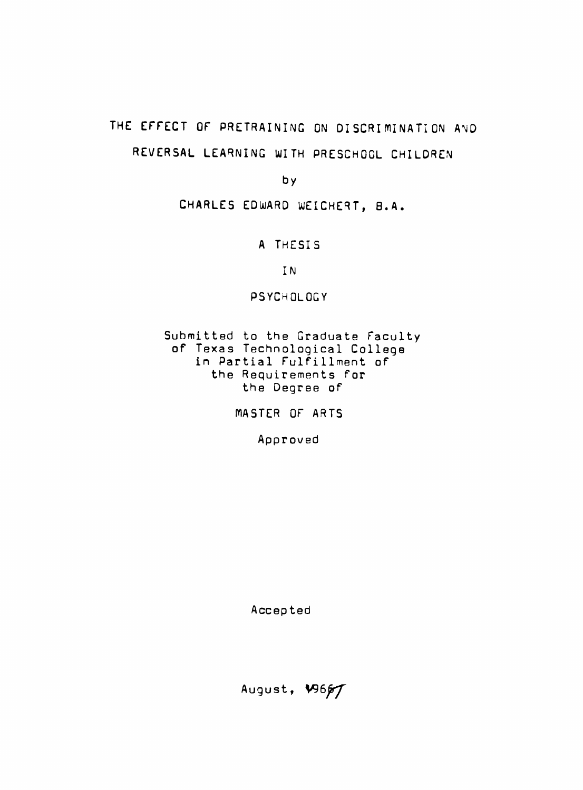# THE EFFECT OF PRETRAINING ON DISCRIMINATION AND **REVERSAL LEARNING WITH PRESCHOOL CHILDREN**

**by** 

CHARLES EDWARD WEICHERT, B.A.

**A THESIS** 

**IN** 

PSYCHOLOGY

Submitted to the Graduate Faculty of Texas Technological College in Partial Fulfillment of the Requirements for the Degree of

WASTER OF ARTS

Approved

Accepted

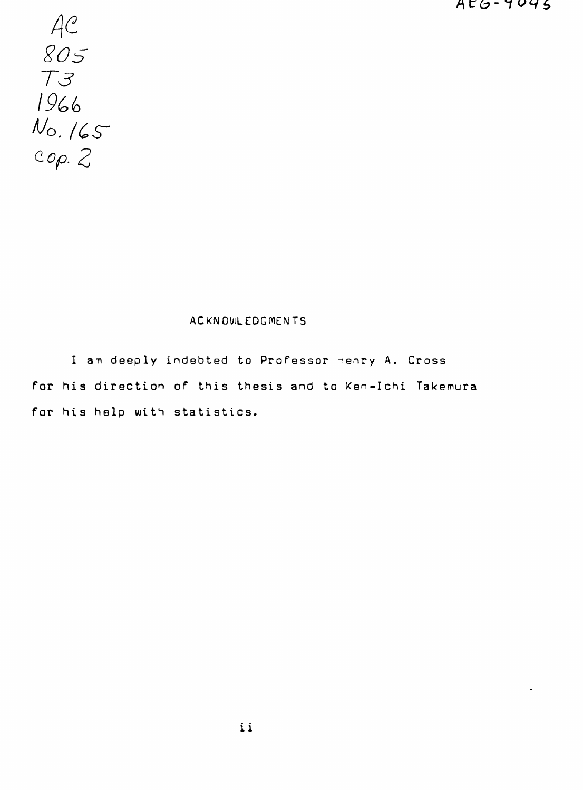*f\C(y-1 '^•ii,* 

 $AC$ **T3**  1966<br>No. 165  $Cop. 2$ 

# **ACKNOIIILEDGIVIEMTS**

I am deeply indebted to Professor Henry A. Cross for his direction of this thesis and to Ken-Ichi Takemura for his help with statistics.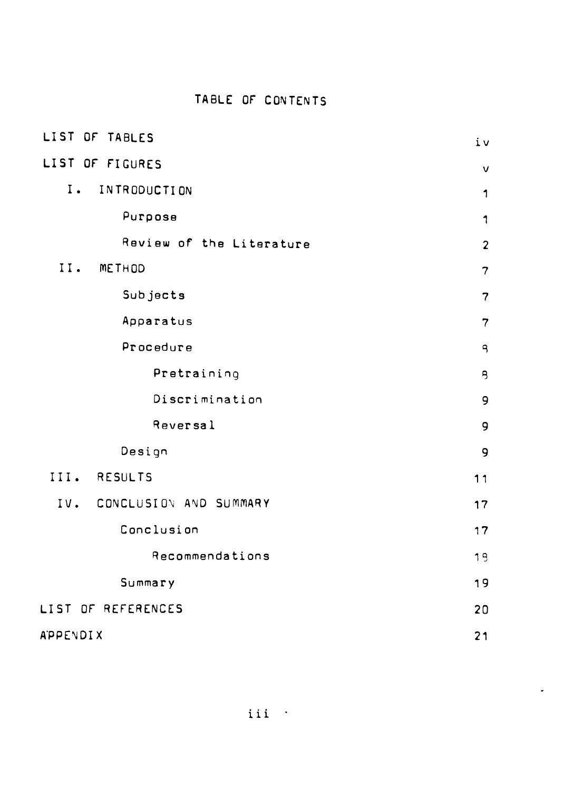# **TABLE OF CONTENTS**

| LIST OF TABLES                | iv             |
|-------------------------------|----------------|
| LIST OF FIGURES               | $\vee$         |
| $I$ .<br>INTRODUCTION         | 1              |
| Purpose                       | 1              |
| Review of the Literature      | $\overline{2}$ |
| II.<br>METHOD                 | $\overline{7}$ |
| Subjects                      | $\overline{7}$ |
| Apparatus                     | $\overline{7}$ |
| Procedure                     | $\overline{a}$ |
| Pretraining                   | $\overline{B}$ |
| Discrimination                | 9              |
| Reversal                      | 9              |
| Design                        | 9              |
| <b>RESULTS</b><br>III.        | 11             |
| CONCLUSION AND SUMMARY<br>IV. | 17             |
| Conclusion                    | 17             |
| Recommendations               | 19             |
| Summary                       | 19             |
| LIST OF REFERENCES            | 20             |
| APPENDIX                      | 21             |

 $\bullet$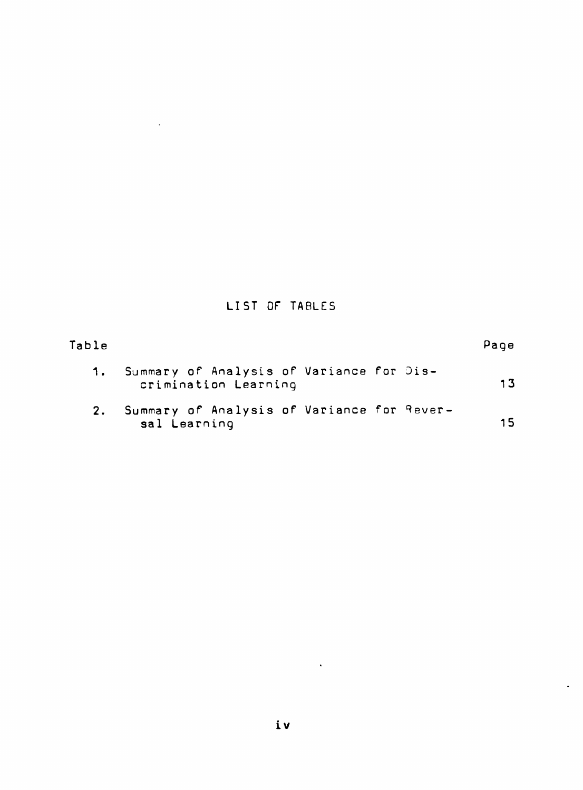# **LIST OF TABLES**

 $\mathcal{L}^{\text{max}}_{\text{max}}$  .

| Table |                                                                  | Page |
|-------|------------------------------------------------------------------|------|
| 1.    | Summary of Analysis of Variance for Dis-<br>crimination Learning | 13   |
| 2.    | Summary of Analysis of Variance for Rever-<br>sal Learning       | 15   |

 $\sim 10^{-10}$ 

 $\ddot{\phantom{1}}$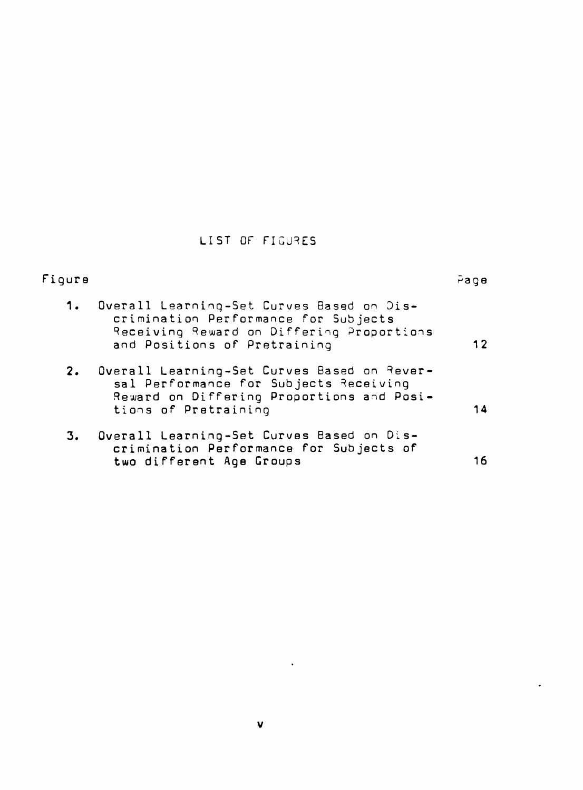# LIST OF FIGURES

| Fiqure |                                                                                                                                                                | $P^a$ ge |
|--------|----------------------------------------------------------------------------------------------------------------------------------------------------------------|----------|
| 1.     | Overall Learning-Set Curves Based on Dis-<br>crimination Performance for Subjects<br>Receiving Reward on Differing Proportions<br>and Positions of Pretraining | 12       |
|        | 2. Overall Learning-Set Curves Based on Rever-<br>sal Performance for Subjects Receiving<br>Reward on Differing Proportions and Posi-<br>tions of Pretraining  | 14       |
| 3.     | Overall Learning-Set Curves Based on Dis-<br>crimination Performance for Subjects of<br>two different Age Groups                                               | 16       |

 $\sim 10^{11}$ 

 $\bullet$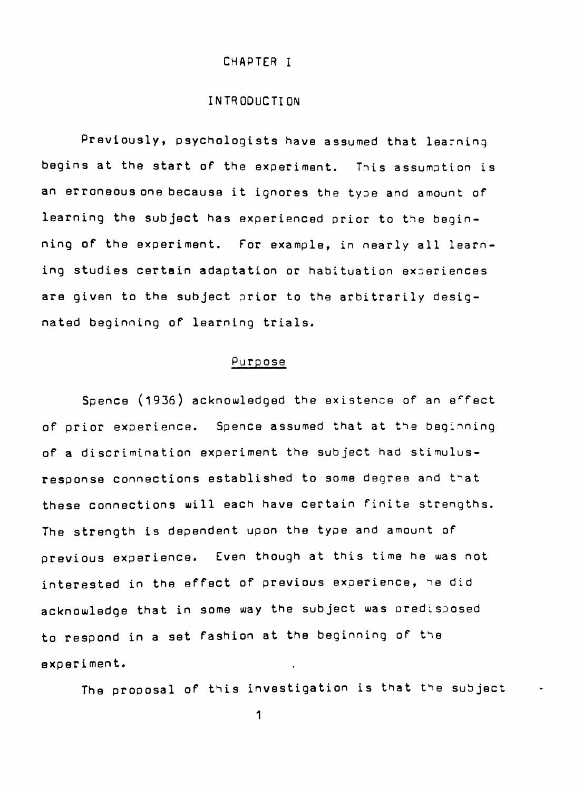#### CHAPTER I

# INTRODUCTION

Previously, psychologists have assumed that learning begins at the start of the experiment. This assumption is an erroneous one because it ignores the type and amount of learning the subject has experienced prior to the beginning of the experiment. For example, in nearly all learning studies certain adaptation or habituation experiences are given to the subject prior to the arbitrarily designated beginning of learning trials.

### Purpose

Spence (1936) acknowledged the existence of an effect of prior experience. Spence assumed that at the beginning of a discrimination experiment the subject had stimulusresponse connections established to some degree and that these connections will each have certain finite strengths. The strength is dependent upon the type and amount of previous experience. Even though at this time he was not interested in the effect of previous experience, he did acknowledge that in some way the subject was oredisposed to respond in a set fashion at the beginning of the experiment.

The proposal of this investigation is that the subject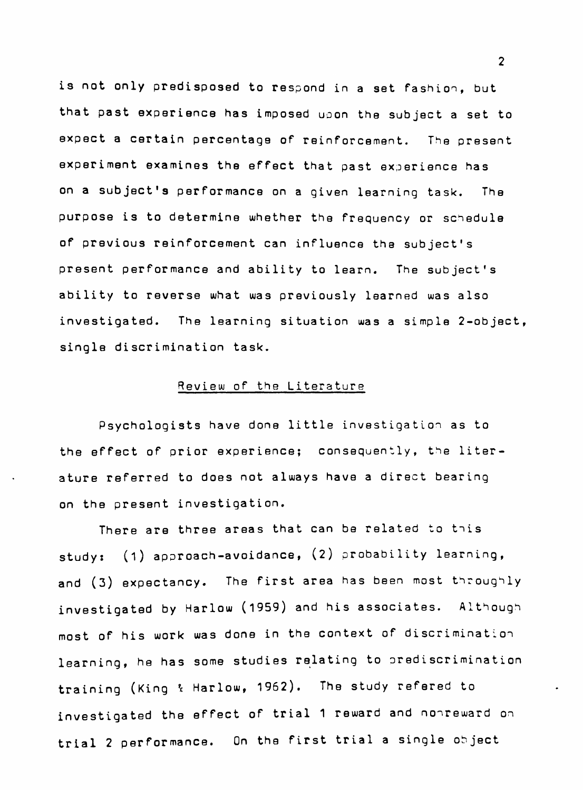is not only predisposed to respond in a set fashion, but that past experience has imposed uoon the subject a set to expect a certain percentage of reinforcement. The present experiment examines the effect that past experience has on a subject's performance on a given learning task. The purpose is to determine whether the frequency or schedule of previous reinforcement can influence the subject's present performance and ability to learn. The subject's ability to reverse what was previously learned was also investigated. The learning situation was a simple 2-object, single discrimination task.

### Review of the Literature

Psychologists have done little investigation as to the effect of prior experience; consequently, the literature referred to does not always have a direct bearing on the present investigation.

There are three areas that can be related to this study: (1) approach-avoidance, (2) probability learning, and (3) expectancy. The first area has been most throughly investigated by Harlow (1959) and his associates. Although most of his work was done in the context of discrimination learning, he has some studies relating to prediscrimination training (King & Harlow, 1962). The study refered to investigated the effect of trial 1 reward and nonreward on trial 2 performance. On the first trial a single object

 $\overline{2}$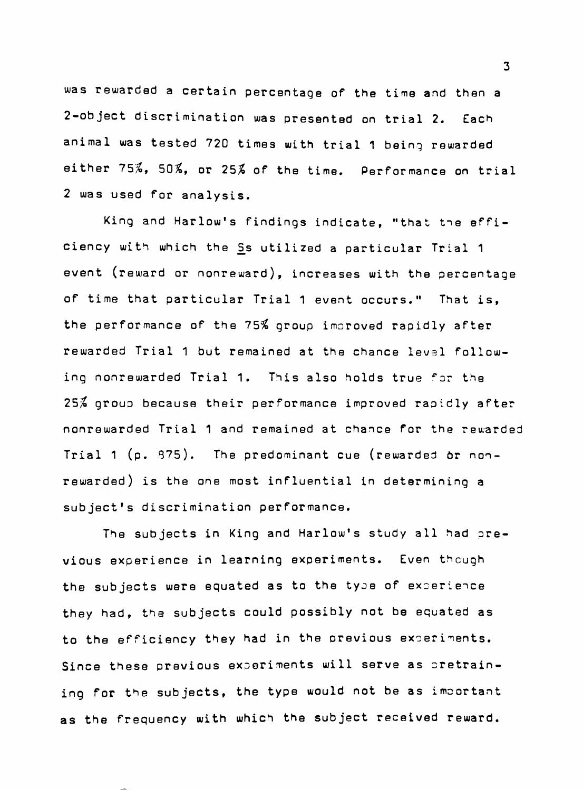**was rewarded a certain percentage of the time and then a 2-object discrimination was presented on trial 2. Each animal was tested 720 times with trial 1 being rewarded either 75^, 50%, or 25^ of the time. Performance on trial 2 was used for analysis.** 

**King and Harlow's findings indicate, "that tne effi**ciency with which the Ss utilized a particular Trial 1 **event (reward or nonreward), increases with the percentage of time that particular Trial 1 event occurs." That is, the performance of the 75% group improved rapidly after rewarded Trial 1 but remained at the chance levsl follow**ing nonrewarded Trial 1. This also holds true for the **25% group because their performance improved rapidly after nonrewarded Trial 1 and remained at chance for the rewarded Trial 1 (p. 875). The predominant cue (rewarded 6r nonrewarded) is the one most influential in determining a subject's discrimination performance.** 

**The subjects in King and Harlow's study all had previous experience in learning experiments. Even thcugh the subjects were equated as to the type of experience they had, the subjects could possibly not be equated as**  to the efficiency they had in the previous experiments. Since these previous experiments will serve as pretrain**ing for the subjects, the type would not be as important as the frequency with which the subject received reward.** 

 $\mathbf{3}$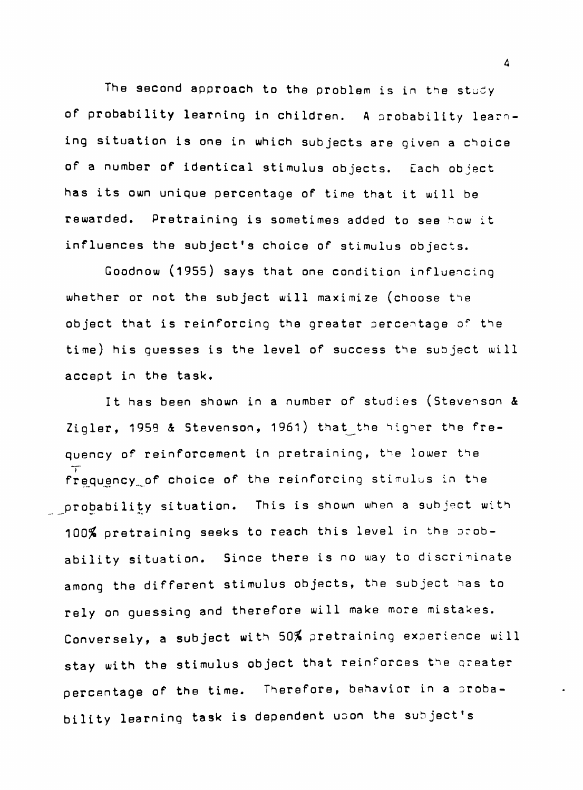The second approach to the problem is in the study of probability learning in children. A probability learning situation is one in which subjects are given a choice of a number of identical stimulus objects. Each object has its own unique percentage of time that it will be rewarded. Pretraining is sometimes added to see how it influences the subject's choice of stimulus objects.

Goodnow (1955) says that one condition influencing whether or not the subject will maximize (choose the object that is reinforcing the greater percentage of the time) his guesses is the level of success the subject will accept in the task.

It has been shown in a number of studies (Stevenson & Zigler, 1958 & Stevenson, 1961) that the higher the frequency of reinforcement in pretraining, the lower the frequency of choice of the reinforcing stimulus in the probability situation. This is shown when a subject with 100% pretraining seeks to reach this level in the probability situation. Since there is no way to discriminate among the different stimulus objects, the subject has to rely on guessing and therefore will make more mistakes. Conversely, a subject with 50% pretraining experience will stay with the stimulus object that reinforces the greater percentage of the time. Therefore, behavior in a probability learning task is dependent upon the subject's

bility learning task is dependent upon the subject task is dependent upon the subject to the subject to the subj

 $\Delta$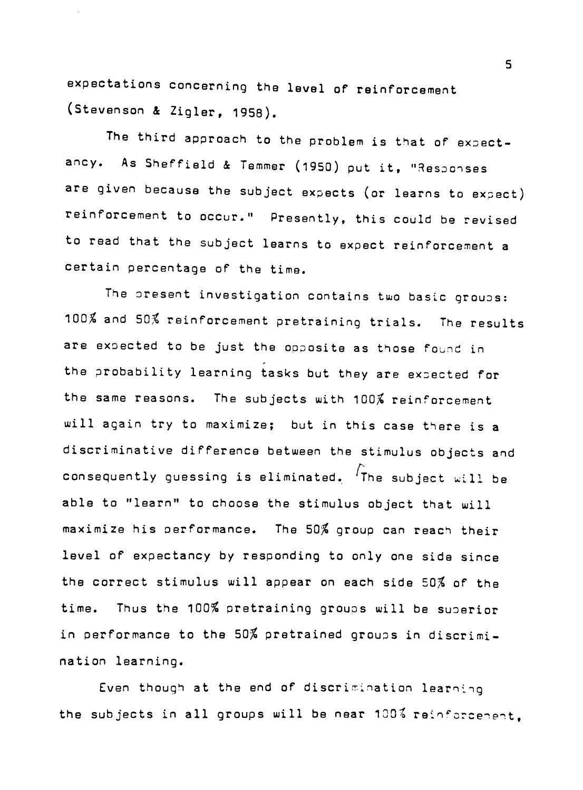**expectations concerning the level of reinforcement (Stevenson 4 Zigler, 1958).** 

**The third approach to the problem is that of expectancy. As Sheffield 4 Temmer (l950) put it, "Responses are given because the subject expects (or learns to expect) reinforcement to occur." Presently, this could be revised to read that the subject learns to expect reinforcement a certain percentage of the time.** 

**The present investigation contains two basic groups: 100% and 50% reinforcement pretraining trials. The results**  are expected to be just the opposite as those found in **the probability learning tasks but they are expected for the same reasons. The subjects with 100% reinforcement will again try to maximize; but in this case there is a discriminative difference between the stimulus objects and consequently guessing is eliminated. 'The subject will be able to "learn" to choose the stimulus object that will maximize his oerformance. The 50% group can reach their level of expectancy by responding to only one side since the correct stimulus will appear on each side 50% of the time. Thus the 100% pretraining groups will be superior in performance to the 50% pretrained groups in discrimination learning.** 

Even though at the end of discrimination learning **the subjects in all groups will be near 100^ reinf crcene-^t,**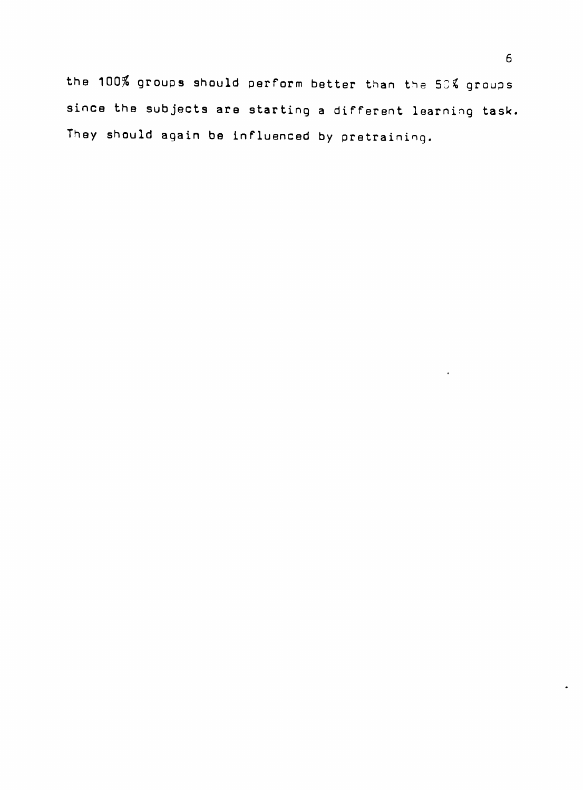the 100% groups should perform better than the 50% groups **since the subjects are starting a different learning task, They should again be influenced by pretraining.**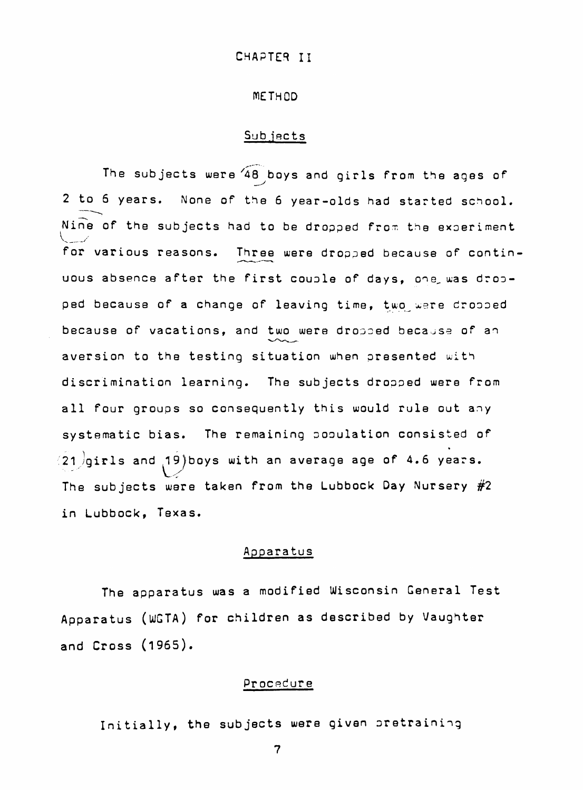### METHOD

#### Subjects

The subjects were  $48$  boys and girls from the ages of 2 to 6 years. None of the 6 year-olds had started school.  $N$ ine of the subjects had to be dropped from the experiment for various reasons. Three were dropped because of continuous absence after the first couple of days, one, was dropped because of a change of leaving time, two were dropped because of vacations, and two were dropped becajse of an aversion to the testing situation when presented with discrimination learning. The subjects dropped were from all four groups so consequently this would rule out any systematic bias. The remaining pooulation consisted of  $(21)$ girls and 19) boys with an average age of 4.6 years. The subjects were taken from the Lubbock Day Nursery #2 in Lubbock, Texas.

# Apparatus

The apparatus was a modified Wisconsin General Test Apparatus (WGTA) for children as described by Vaughter and Cross (l965).

#### Procedure

Initially, the subjects were given pretraining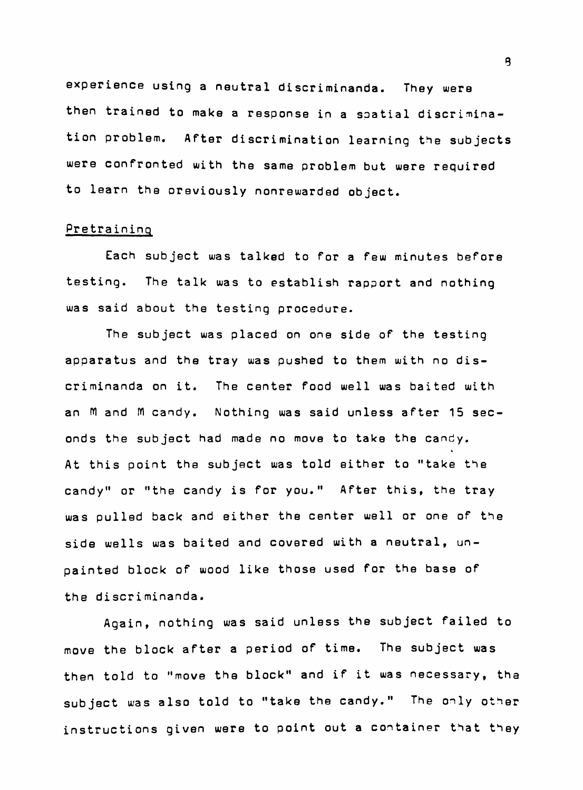**experience using a neutral discriminanda. They were then trained to make a response in a spatial discrimination problem. After discrimination learning the subjects were confronted with the same problem but were required to learn the oreviously nonrewarded object.** 

#### **Pretraining**

**Each subject was talked to for a few minutes before testing. The talk was to establish rapport and nothing was said about the testing procedure.** 

**The subject was placed on one side of the testing apparatus and the tray was pushed to them with no discriminanda on it. The center food well was baited with**  an M and M candy. Nothing was said unless after 15 sec**onds the subject had made no move to take the candy. At this point the subject was told either to "take the candy" or "the candy is for you." After this, the tray was pulled back and either the center well or one of the side wells was baited and covered with a neutral, unpainted block of wood like those used for the base of the discriminanda.** 

**Again, nothing was said unless the subject failed to move the block after a period of time. The subject was then told to "move the block" and if it was necessary, the subject was also told to "take the candy." The only other instructions given were to point out a container that they**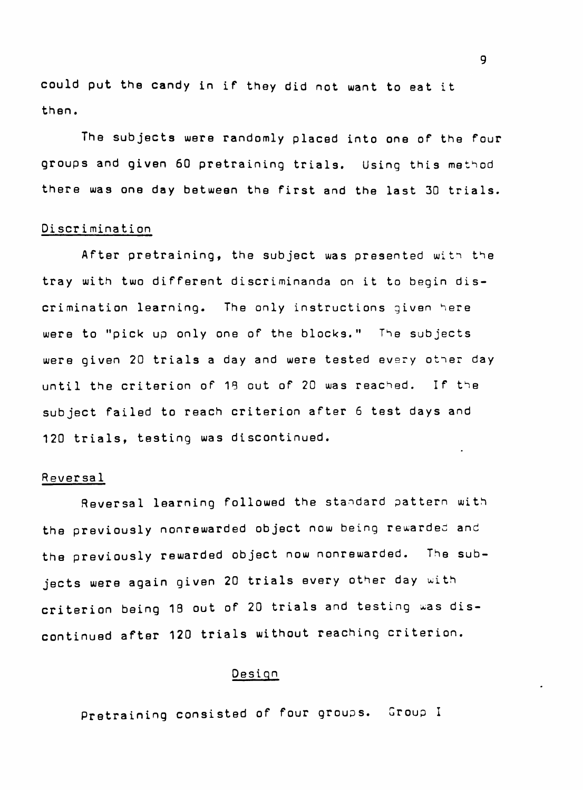**could put the candy in if they did not want to eat it then.** 

**The subjects were randomly placed into one of the four groups and given 60 pretraining trials. Using this method there was one day between the first and the last 30 trials.** 

#### **Discrimination**

**After pretraining, the subject was presented with the tray with two different discriminanda on it to begin discrimination learning. The only instructions given here were to "pick up only one of the blocks." The subjects were given 20 trials a day and were tested every other day until the criterion of 18 out of 20 was reached. If the subject failed to reach criterion after 6 test days and 120 trials, testing was discontinued.** 

### **Reversal**

**Reversal learning followed the standard pattern with the previously nonrewarded object now being rewarded and the previously rewarded object now nonrewarded. The subjects were again given 20 trials every other day u;ith**  criterion being 18 out of 20 trials and testing was dis**continued after 120 trials without reaching criterion.** 

# **Design**

**Pretraining consisted of four groups. Croup I**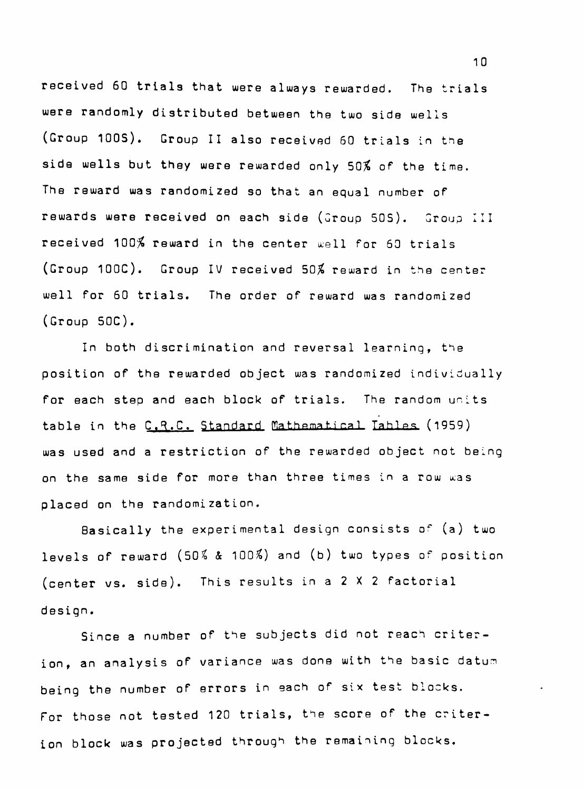**received 60 trials that were always rewarded. The trials were randomly distributed between the two side wells (Group 100S). Group II also received 60 trials in the side wells but they were rewarded only 50% of the time. The reward was randomized so that an equal number of rewards were received on each side (Group SOS). Group III**  received 100% reward in the center well for 60 trials **(Group lOOC). Group IV received 50% reward in the center well for 60 trials. The order of reward was randomized (Group 50C) .** 

**In both discrimination and reversal learning, the position of the rewarded object was randomized individually for each step and each block of trials. The random units**  table in the C.R.C. Standard Mathematical Tables (1959) **was used and a restriction of the rewarded object not being**  on the same side for more than three times in a row was **placed on the randomization.** 

**Basically the experimental design consists of (a) two levels of reward (50^ 4 100/\$) and (b) two types of position (center vs. side). This results in a 2 X 2 factorial design.** 

**Since a number of the subjects did not reach criterion, an analysis of variance was done with the basic datun being the number of errors in each of six test blocks. For those not tested 120 trials, the score of the criterion block was projected through the remaining blocks.**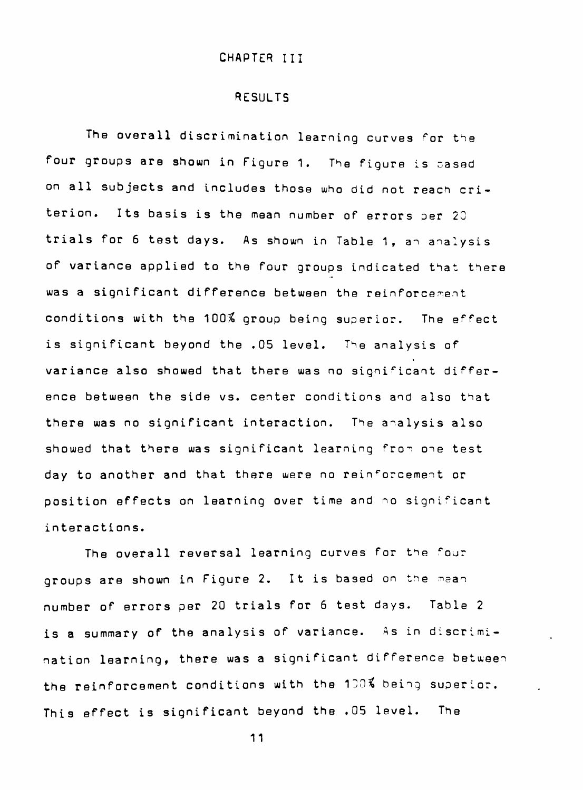### RESULTS

The overall discrimination learning curves for the four groups are shown in Figure 1. The figure is cased on all subjects and includes those who did not reach criterion. Its basis is the mean number of errors per 20 trials for 6 test days. As shown in Table 1, an analysis of variance applied to the four groups indicated that there was a significant difference between the reinforcement conditions with the 100% group being superior. The effect is significant beyond the .05 level. The analysis of variance also showed that there was no significant difference between the side vs. center conditions and also that there was no significant interaction. The analysis also showed that there was significant learning fron one test day to another and that there were no reinforcement or position effects on learning over time and no significant interactions.

The overall reversal learning curves for the four groups are shown in Figure 2. It is based on the mean number of errors per 20 trials for 6 test days. Table 2 is a summary of the analysis of variance. As in discrimination learning, there was a significant difference between the reinforcement conditions with the 130% being superior. This effect is significant beyond the .05 level. The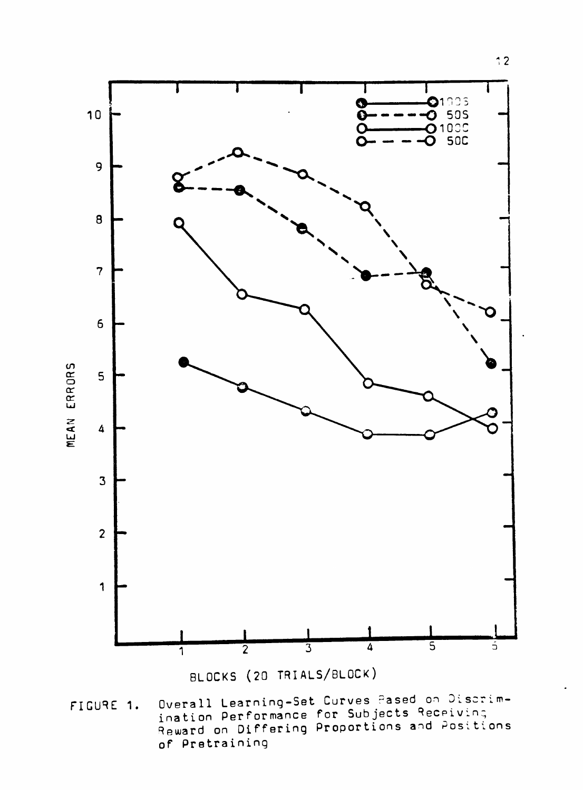

Overall Learning-Set Curves Pased on Discrim-<br>ination Performance for Subjects Receiving<br>Reward on Differing Proportions and Positions FIGURE 1. of Pretraining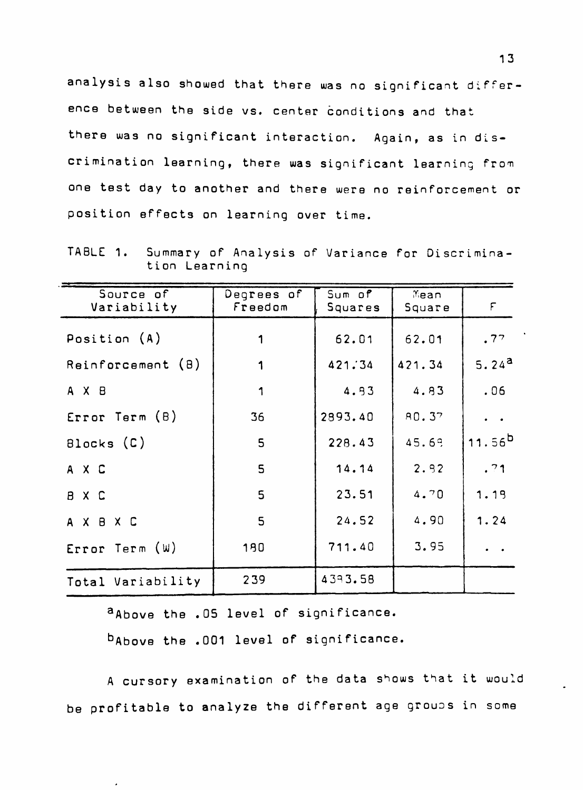analysis also showed that there was no significant difference between the side vs. center conditions and that there was no significant interaction. Again, as in discrimination learning, there was significant learning from one test day to another and there were no reinforcement or position effects on learning over time.

TABLE 1. Summary of Analysis of Variance for Discrimina tion Learning

| Source of<br>Variability | Degrees of<br>Freedom | Sum of<br>Squares | Mean<br>Square | $\mathop{\mathsf{F}}$ |
|--------------------------|-----------------------|-------------------|----------------|-----------------------|
| Position (A)             |                       | 62.01             | 62.01          | .77                   |
| Reinforcement (B)        | 1                     | 421.34            | 421.34         | 5.24 <sup>a</sup>     |
| A X B                    | 1                     | 4.93              | 4.83           | .06                   |
| Error Term(B)            | 36                    | 2993.40           | A0.37          |                       |
| Blocks (C)               | 5                     | 228.43            | 45.69          | 11.56 <sup>b</sup>    |
| A X C                    | 5                     | 14.14             | 2.92           | .71                   |
| B X C                    | 5                     | 23.51             | 4.70           | 1.19                  |
| AXBXC                    | 5                     | 24.52             | 4.90           | 1.24                  |
| Error Term (W)           | 190                   | 711.40            | 3.95           |                       |
| Total Variability        | 239                   | 4393.58           |                |                       |

a Above the .05 level of significance.

babove the .001 level of significance.

A cursory examination of the data shows that it would be profitable to analyze the different age groups in some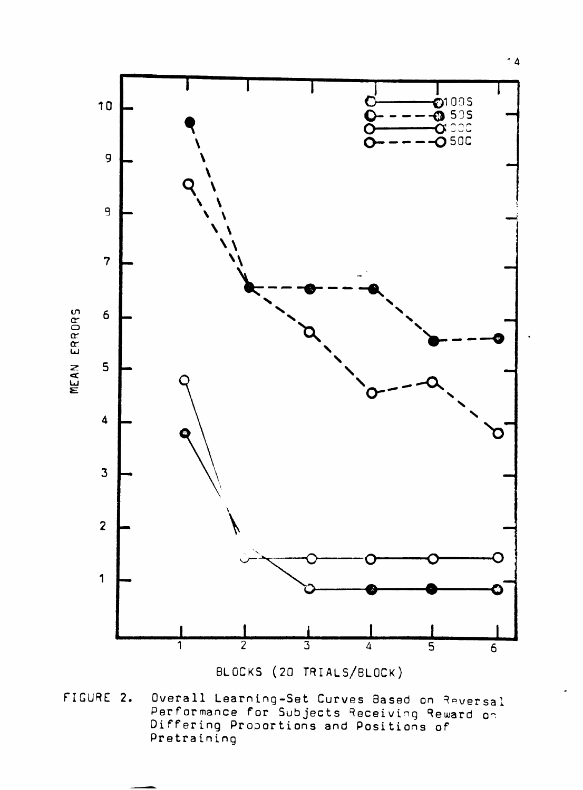

BLOCKS (20 TRIALS/BLOCK)

Overall Learning-Set Curves Based on Reversal<br>Performance for Subjects Receiving Reward on<br>Differing Proportions and Positions of FIGURE 2. Pretraining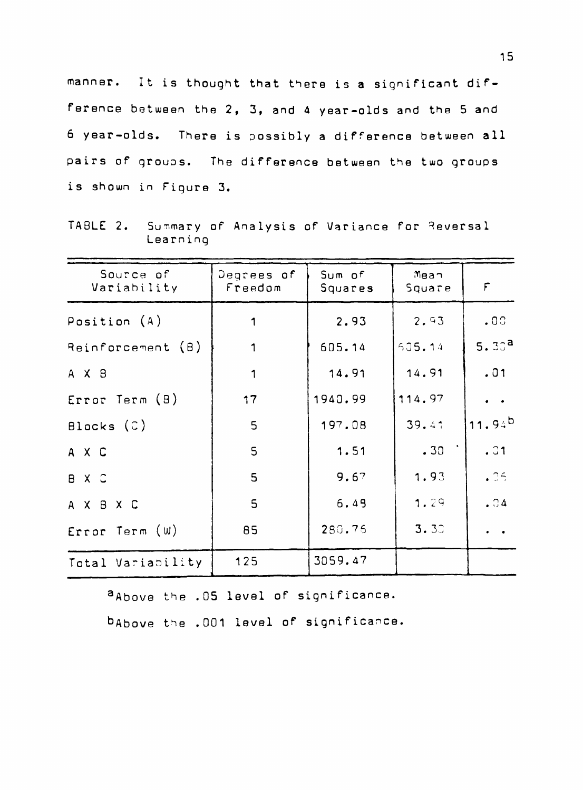manner. It is thought that there is a significant difference between the 2, 3, and 4 year-olds and the 5 and 6 year-olds. There is possibly a difference between all pairs of groups. The difference between the two groups is shown in Figure 3.

Summary of Analysis of Variance for Reversal TABLE 2. Learning

| Source of<br>Variability | Degrees of<br>Freedom | Sum of<br>Squares | Mean<br>Square | $\mathsf F$       |
|--------------------------|-----------------------|-------------------|----------------|-------------------|
| Position $(A)$           | 1                     | 2.93              | 2.93           | .00.              |
| Reinforcement (B)        | 1                     | 605.14            | 505.14         | 5.30 <sup>a</sup> |
| A X B                    | 1                     | 14.91             | 14.91          | .01               |
| Error Term (8)           | 17                    | 1940.99           | 114.97         | $\bullet$         |
| Blocks $(\circ)$         | 5                     | 197.08            | 39.41          | 11.94b            |
| A X C                    | $\overline{5}$        | 1.51              | .30            | .31               |
| B X C                    | 5                     | 9.67              | 1.93           | .35               |
| A X B X C                | $\overline{5}$        | 6.49              | 1.29           | .04               |
| Error Term (W)           | 85                    | 280.75            | 3.30           |                   |
| Total Variability        | 125                   | 3059.47           |                |                   |

aAbove the .05 level of significance.

babove the .001 level of significance.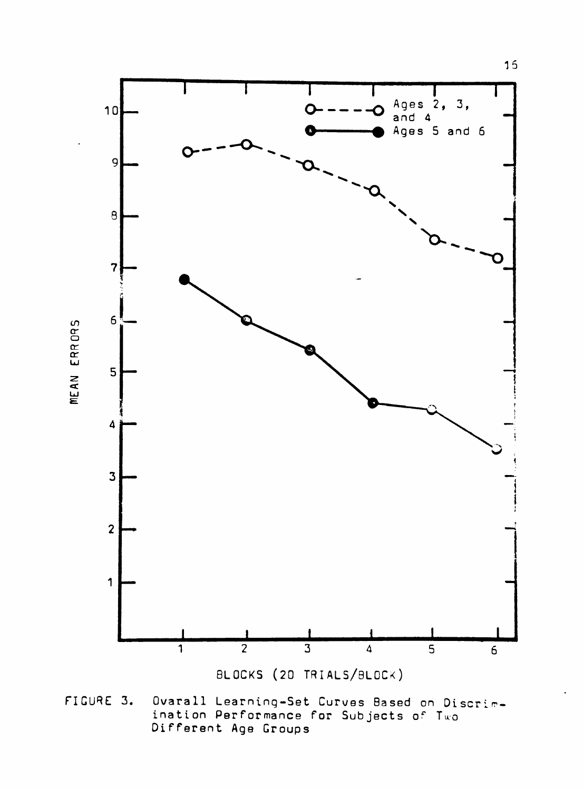

Ovarall Learning-Set Curves Based on Discrim-<br>ination Performance for Subjects of Two FIGURE 3. Different Age Groups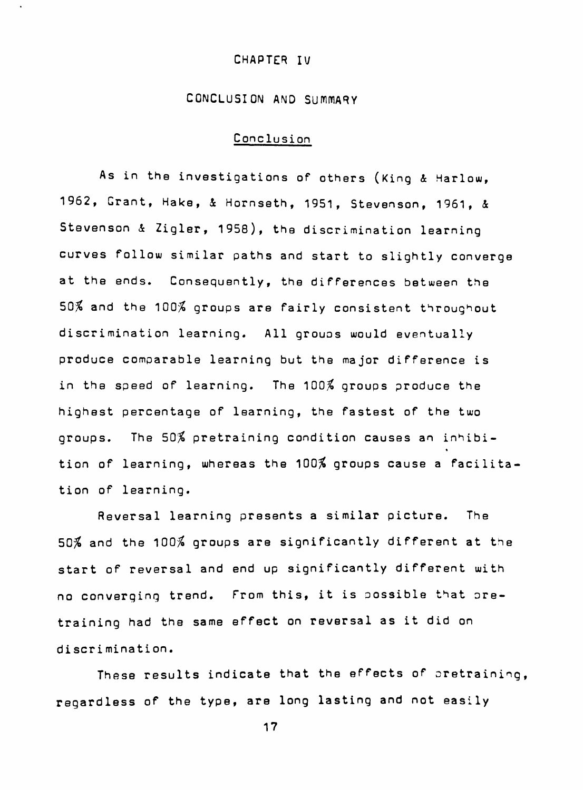#### **CHAPTER IV**

# **CONCLUSION AND SUMMARY**

# **Conclusion**

As in the investigations of others (King & Harlow, **1962, Grant, Hake, 4 Hornseth, 1951, Stevenson, 1961, 4 Stevenson 4 Zigler, 1958), the discrimination learning curves follow similar paths and start to slightly converge at the ends. Consequently, the differences between the 50% and the 100% groups are fairly consistent throughout discrimination learning. All grouos would eventually produce comparable learning but the major difference is in the speed of learning. The 100% groups produce the highest percentage of learning, the fastest of the two groups. The 50% pretraining condition causes an inhibi-** « **tion of learning, whereas the 100% groups cause a facilitation of learning.** 

**Reversal learning presents a similar picture. The 50% and the 100% groups are significantly different at the start of reversal and end up significantly different with no converging trend. From this, it is possible that oretraining had the same effect on reversal as it did on discri mination.** 

**These results indicate that the effects of pretraining, regardless of the type, are long lasting and not easily**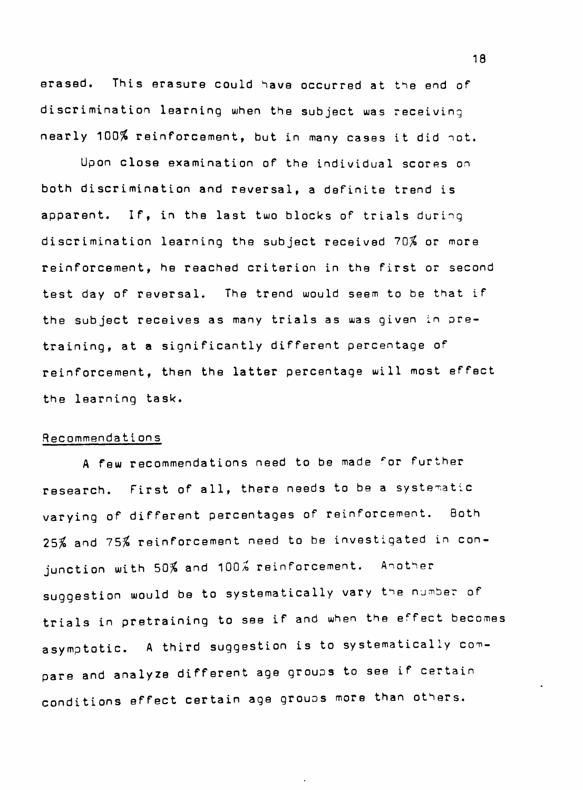erased. This erasure could have occurred at the end of discrimination learning when the subject was receiving nearly 100% reinforcement, but in many cases it did not.

Upon close examination of the individual scores on both discrimination and reversal, a definite trend is apparent. If, in the last two blocks of trials during discrimination learning the subject received 70% or more reinforcement, he reached criterion in the first or second test day of reversal. The trend would seem to be that if the subject receives as many trials as was given in pretraining, at a significantly different percentage of reinforcement, then the latter percentage will most effect the learning task.

#### Recommendations

A few recommendations need to be made ^or further research. First of all, there needs to be a systematic varying of different percentages of reinforcement. Both 25% and 75% reinforcement need to be investigated in conjunction with 50% and 100% reinforcement. Another suggestion would be to systematically vary the number of trials in pretraining to see if and when the effect becomes asymptotic. A third suggestion is to systematically compare and analyze different age groups to see if certain conditions effect certain age groups more than others.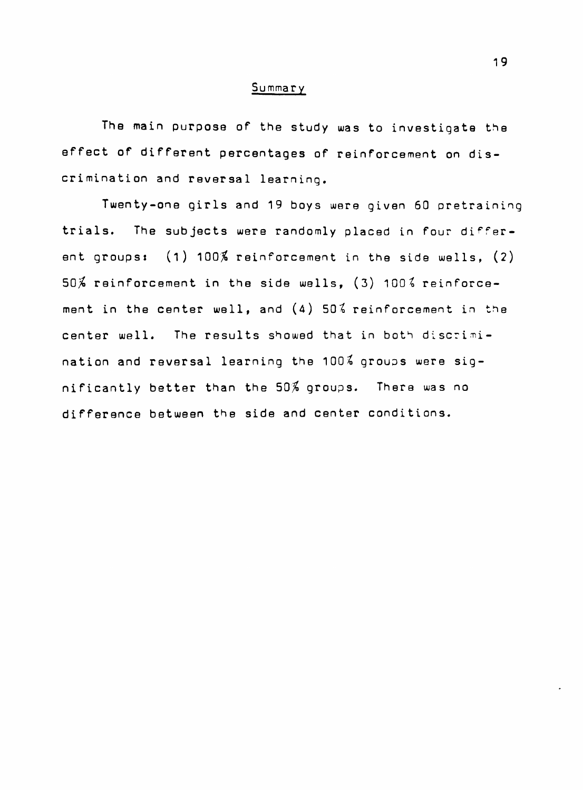#### Summary

The main purpose of the study was to investigate the effect of different percentages of reinforcement on discrimination and reversal learning.

Twenty-one girls and 19 boys were given 60 pretraining trials. The subjects were randomly placed in four different groups:  $(1)$  100% reinforcement in the side wells,  $(2)$  $50\%$  reinforcement in the side wells, (3) 100 $\frac{2}{3}$  reinforcement in the center well, and (4) 50% reinforcement in the center well. The results showed that in both discrimination and reversal learning the  $100\%$  groups were significantly better than the 50% groups. There was no difference between the side and center conditions.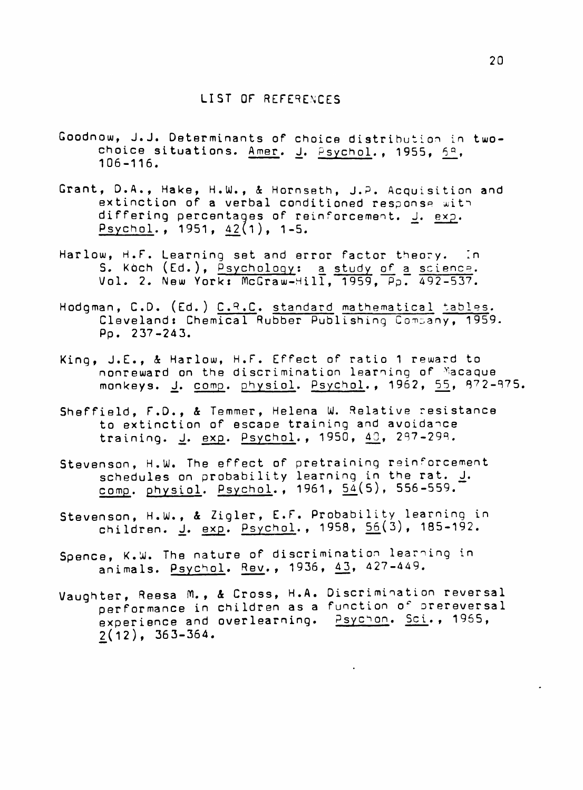- Goodnow, J.J, Determinants of choice distribution in twochoice situations. Amer. J. Psychol., 1955, 59, 106-116.
- Grant, D.A., Hake, H.W., 4 Hornseth, J.P. Acquisition and extinction of a verbal conditioned response with differing percentages of reinforcement. J. exp. Psychol., 1951, 42(1), 1-5.
- Harlow, H.F. Learning set and error factor theory. In S. Koch (Ed.), <u>Psychology</u>: <u>a study of a science</u>. Vol. 2. New York: McGraw-Hill, 1959, Pp. 492-537.
- Hodgman, C.D. (Ed.) C.R.C. standard mathematical tables. Cleveland: Chemical Rubber Publishing Company, 1959- Pp. 237-243.
- King, J.E., 4 Harlow, H.F. Effect of ratio 1 reward to nonreward on the discrimination learning of ^lacaque monkeys. <u>J</u>. <u>comp</u>. <u>physiol</u>. <u>Psychol</u>., 1962, <u>55</u>, 872-875.
- Sheffield, F.D., & Temmer, Helena W. Relative resistance to extinction of escape training and avoidance training. J. exp. Psychol., 1950, 43, 297-298.
- Stevenson, H.W. The effect of pretraining reinforcement schedules on probability learning in the rat. I. comp. physiol. Psychol., 1961,  $54(5)$ , 556-559.
- Stevenson, H.W., & Zigler, E.F. Probability learning in children. <u>J</u>. <u>exp</u>. Psychol., 1958, 56(3), 185-192.
- Spence, K.W. The nature of discrimination learning in animals. Psychol. Rev., 1936, 43, 427-449.
- Vaughter, Reesa M., & Cross, H.A. Discrimination reversal performance in children as a function of prereversal experience and overlearning. **Psychon.** Sci., 1965,  $2(12)$ , 363-364.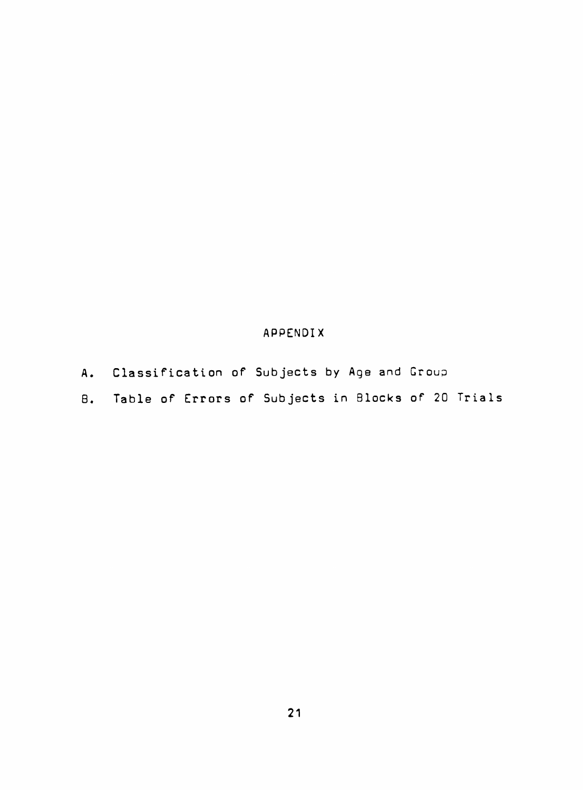# **APPENDIX**

- **A. Classification of Subjects by Age and Group**
- **B. Table of Errors of Subjects in Blocks of 20 Trials**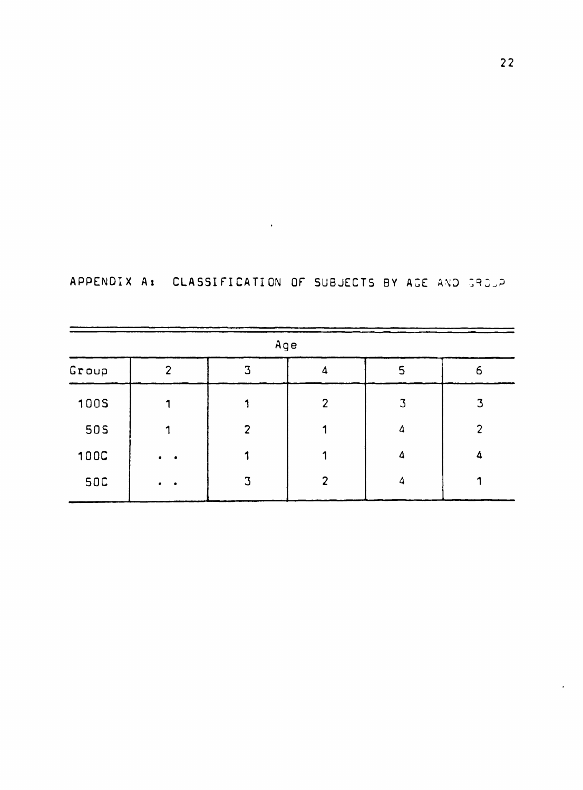|  | APPENDIX A: CLASSIFICATION OF SUBJECTS BY AGE AND GROUP |  |  |  |
|--|---------------------------------------------------------|--|--|--|
|  |                                                         |  |  |  |

 $\mathcal{L}(\mathcal{A})$  , and  $\mathcal{L}(\mathcal{A})$  , and

| Age         |               |                |                |                |              |  |  |  |
|-------------|---------------|----------------|----------------|----------------|--------------|--|--|--|
| Group       | $\mathcal{P}$ | 3              | 4              | $\overline{5}$ | 6            |  |  |  |
| 1005        |               |                | $\overline{2}$ | 3              | $\mathbf{3}$ |  |  |  |
| <b>50S</b>  |               | $\overline{2}$ |                | 4              | 2            |  |  |  |
| <b>100C</b> | $\bullet$     |                |                | 4              | Δ            |  |  |  |
| <b>50C</b>  | $\bullet$     | 3              | ר              |                |              |  |  |  |

 $\bullet$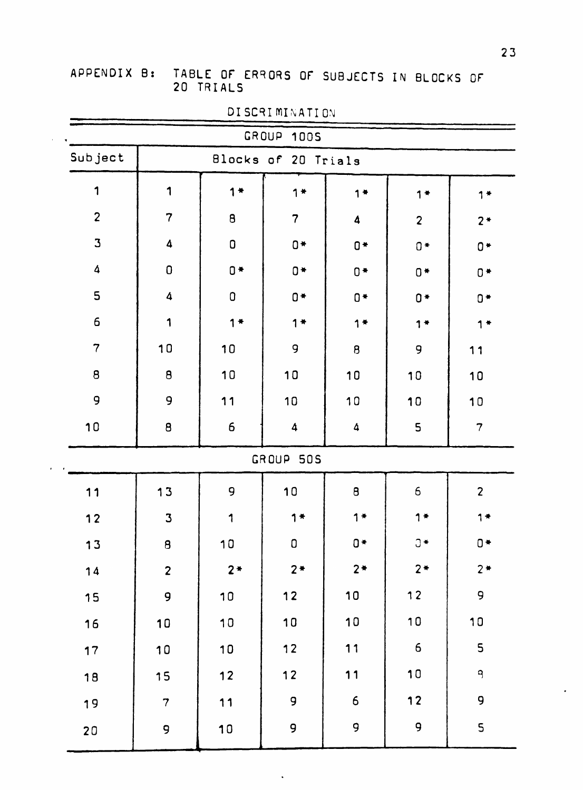# **APPENDIX B: TABLE OF ERRORS OF SUBJECTS IN BLOCKS OF 20 TRIALS**

| GROUP 1005       |                         |                    |                |                    |                |                |  |  |
|------------------|-------------------------|--------------------|----------------|--------------------|----------------|----------------|--|--|
| Subject          | Blocks of 20 Trials     |                    |                |                    |                |                |  |  |
| 1                | 1                       | $1*$               | $1*$           | $1 +$              | $1$ $*$        | $1 +$          |  |  |
| $\overline{2}$   | $\overline{7}$          | $\pmb{\mathsf{B}}$ | $\overline{7}$ | $\boldsymbol{4}$   | $\overline{2}$ | $2*$           |  |  |
| $\mathbf 3$      | $\boldsymbol{\Delta}$   | $\pmb{0}$          | $0*$           | $0*$               | $0*$           | $0*$           |  |  |
| $\boldsymbol{4}$ | $\mathbf 0$             | $0*$               | $0*$           | $0*$               | $0*$           | $0*$           |  |  |
| 5                | $\boldsymbol{4}$        | $\pmb{\mathsf{O}}$ | $0 +$          | $0*$               | $0 +$          | $0 +$          |  |  |
| 6                | 1                       | $1$ $*$            | $1*$           | $1*$               | $1 +$          | $1*$           |  |  |
| $\overline{7}$   | 10                      | 10                 | 9              | $\pmb{\mathsf{B}}$ | 9              | 11             |  |  |
| $\pmb{8}$        | $\pmb{\Theta}$          | 10                 | 10             | 10                 | 10             | 10             |  |  |
| 9                | $\mathbf{9}$            | 11                 | 10             | 10                 | 10             | 10             |  |  |
| 10               | $\theta$                | $\boldsymbol{6}$   | $\Delta$       | $\pmb{\Delta}$     | 5              | $\overline{7}$ |  |  |
|                  |                         |                    | GROUP 50S      |                    |                |                |  |  |
| 11               | 13                      | 9                  | 10             | 8                  | 6              | $\overline{2}$ |  |  |
| $12$             | $\overline{3}$          | 1                  | $1*$           | $1*$               | $1*$           | $1*$           |  |  |
| 13               | $\overline{\mathbf{g}}$ | 10                 | $\mathbf 0$    | $0*$               | $J^*$          | $0*$           |  |  |
| 14               | $\overline{\mathbf{c}}$ | $2*$               | $2*$           | $2*$               | $2*$           | $2*$           |  |  |
| 15               | 9                       | 10                 | $12$           | 10                 | $12$           | 9              |  |  |
| 16               | 10                      | 10                 | 10             | 10                 | 10             | 10             |  |  |
| 17               | 10                      | 10                 | $12$           | 11                 | $\overline{6}$ | 5              |  |  |
| 18               | 15                      | $12$               | $12$           | $11$               | 10             | 9              |  |  |
| 19               | $\overline{\mathbf{7}}$ | 11                 | 9              | 6                  | $12$           | 9              |  |  |
| 20               | 9                       | 10                 | 9              | 9                  | 9              | 5              |  |  |

 $\ddot{\phantom{a}}$ 

DISCRIMINATION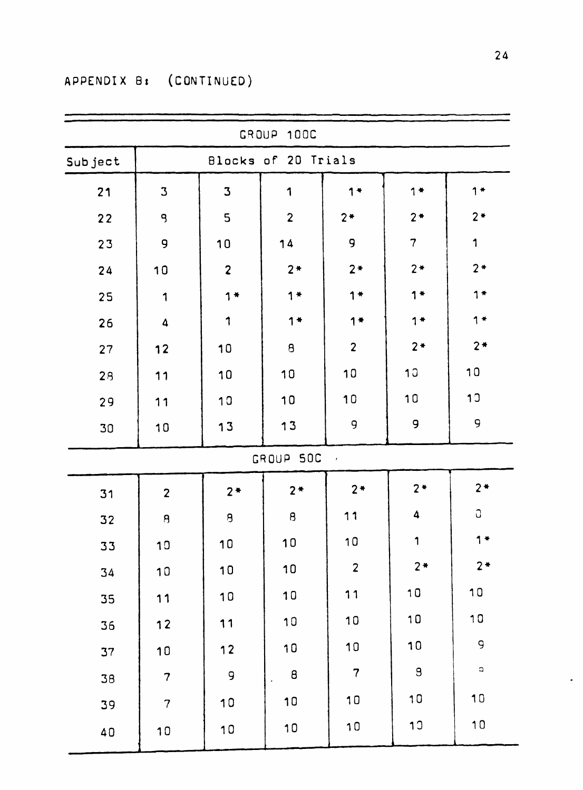| GROUP 100C |                         |                         |                                       |                         |                     |                |  |  |  |
|------------|-------------------------|-------------------------|---------------------------------------|-------------------------|---------------------|----------------|--|--|--|
| Subject    | Blocks of 20 Trials     |                         |                                       |                         |                     |                |  |  |  |
| 21         | $\mathbf 3$             | $\overline{\mathbf{3}}$ | 1                                     | $1 +$                   | $1 +$               | $1$ $*$        |  |  |  |
| 22         | 9                       | 5                       | $\overline{2}$                        | $2*$                    | $2*$                | $2*$           |  |  |  |
| 23         | 9                       | 10                      | 14                                    | 9                       | $\overline{7}$      | 1              |  |  |  |
| 24         | 10                      | $\overline{\mathbf{c}}$ | $2*$                                  | $2*$                    | $2*$                | $2*$           |  |  |  |
| 25         | 1                       | $1*$                    | $1*$                                  | $1 +$                   | $1*$                | $1*$           |  |  |  |
| 26         | $\boldsymbol{4}$        | 1                       | $1*$                                  | $1$ $*$                 | $1 +$               | $1$ *          |  |  |  |
| 27         | 12                      | 10                      | $\pmb{\mathsf{B}}$                    | $\overline{c}$          | $2*$                | $2*$           |  |  |  |
| 28         | 11                      | 10                      | 10                                    | 10                      | 10                  | 10             |  |  |  |
| 29         | 11                      | 10                      | 10                                    | 10                      | 10                  | 10             |  |  |  |
| 30         | 10                      | 13                      | 13                                    | 9                       | 9                   | 9              |  |  |  |
|            |                         |                         | GROUP 50C                             | $\langle \rangle$       |                     |                |  |  |  |
| 31         | $\overline{2}$          | $2*$                    | $2*$                                  | $2*$                    | $2*$                | $2*$           |  |  |  |
| 32         | $\overline{\mathbf{g}}$ | $\overline{a}$          | $\overline{\mathbf{g}}$               | 11                      | $\ddot{\textbf{a}}$ | G              |  |  |  |
| 33         | 10                      | 10                      | 10                                    | 10                      | $\mathbf{1}$        | $1*$           |  |  |  |
| 34         | 10                      | 10                      | 10                                    | $\overline{\mathbf{c}}$ | $2*$                | $2*$           |  |  |  |
| 35         | 11                      | 10                      | 10                                    | 11                      | 10                  | 10             |  |  |  |
| 36         | 12                      | 11                      | 10                                    | 10                      | 10                  | 10             |  |  |  |
| 37         | 10                      | $12$                    | 10                                    | 10                      | 10                  | 9              |  |  |  |
| 38         | $\overline{\mathbf{7}}$ | 9                       | $\pmb{\beta}$<br>$\ddot{\phantom{a}}$ | $\overline{7}$          | $\mathbf{g}$        | $\hbox{\tt l}$ |  |  |  |
| 39         | $\overline{7}$          | 10                      | 10                                    | 10                      | 10                  | 10             |  |  |  |
| 40         | 10                      | 10                      | 10                                    | 10                      | 1 <sup>0</sup>      | 10             |  |  |  |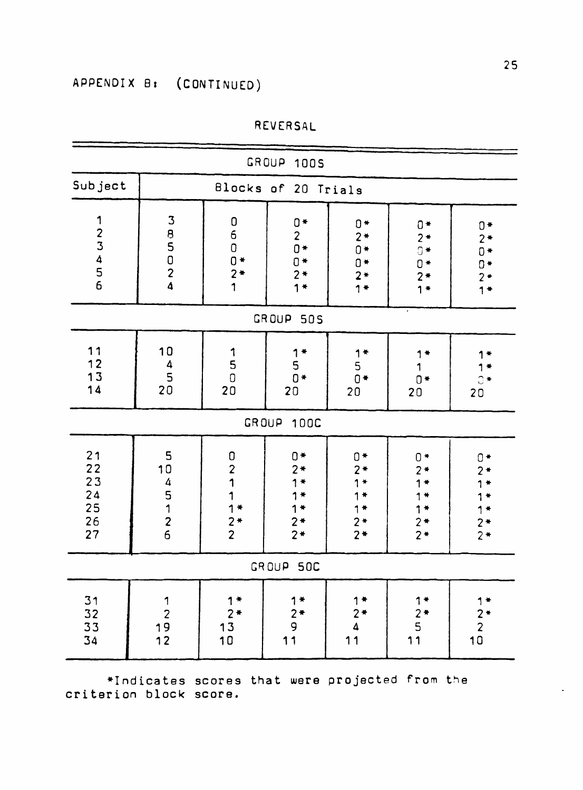| GROUP 100S                                    |                                                                                              |                                                                             |                                                    |                                                      |                                                           |                                                       |
|-----------------------------------------------|----------------------------------------------------------------------------------------------|-----------------------------------------------------------------------------|----------------------------------------------------|------------------------------------------------------|-----------------------------------------------------------|-------------------------------------------------------|
| Subject                                       |                                                                                              |                                                                             | Blocks of 20 Trials                                |                                                      |                                                           |                                                       |
| 123456                                        | 3<br>8<br>5<br>0<br>2<br>$\overline{\mathbf{A}}$                                             | 060***                                                                      | $0*$<br>$2*$<br>$0*$<br>$0*$<br>$2 *$<br>1*        | $0*$<br>$2*$<br>$0*$<br>$0*$<br>$2*$<br>$1$ $*$      | $0*$<br>$2*$<br>$\overline{0}$ *<br>$0*$<br>$2*$<br>$1 +$ | $0*$<br>$2*$<br>$0 +$<br>$0*$<br>$2*$<br>$1*$         |
|                                               |                                                                                              |                                                                             | GROUP 50S                                          |                                                      |                                                           |                                                       |
| 11<br>$12$<br>13<br>14                        | 10<br>$\begin{array}{c} 4 \\ 5 \\ 20 \end{array}$                                            | $\begin{array}{c} \texttt{1} \\ \texttt{5} \\ \texttt{0} \end{array}$<br>20 | $1$ $*$<br>5<br>$0*$<br>20                         | $1*$<br>$\frac{5}{0}$<br>20                          | $0*$<br>20                                                | $1 +$<br>$\overline{C}$ $\overline{A}$<br>20          |
|                                               |                                                                                              | GROUP                                                                       | <b>100C</b>                                        |                                                      |                                                           |                                                       |
| 21<br>22<br>23<br>24<br>25<br>$\frac{26}{27}$ | 5<br>10<br>$\overline{\mathbf{a}}$<br>$\frac{5}{1}$<br>$\begin{array}{c} 2 \\ 6 \end{array}$ | $\mathbf 0$<br>$\overline{\mathbf{c}}$<br>1<br>$1*$<br>$\frac{2*}{2}$       | $0*$<br>$2*$<br>$\bigstar$<br>$1*$<br>$2*$<br>$2*$ | $0*$<br>$2*$<br>$1*$<br>1*<br>$1*$<br>$2 *$<br>$2 *$ | $0*$<br>$2*$<br>$1*$<br>$2*$<br>$2*$                      | $0 +$<br>$2*$<br>$1*$<br>$2*$<br>$2*$                 |
| GROUP<br>50C                                  |                                                                                              |                                                                             |                                                    |                                                      |                                                           |                                                       |
| $31$<br>$32$<br>$33$<br>34                    | 1<br>$\begin{array}{c} 2 \\ 19 \\ 12 \end{array}$                                            | $1*$<br>$\begin{array}{c} 2* \\ 13 \\ 10 \end{array}$                       | $1*$<br>$\frac{2}{9}$<br>11                        | $1$ $*$<br>$2*$<br>4<br>11                           | $1*$<br>$2*$<br>5<br>11                                   | $1*$<br>$\begin{array}{c} 2 * \\ 2 \\ 10 \end{array}$ |

REVERSAL

**•Indicates scores that were projected from the criterion block score.**